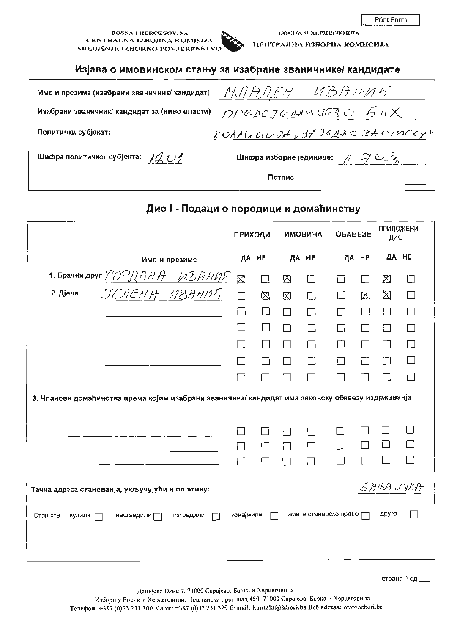**BOSNA I HERCEGOVINA** CENTRALNA IZBORNA KOMISIJA SREDIŠNJE IZBORNO POVJERENSTVO

БОСНА И ХЕРЦЕГОВИНА ЦЕНТРАЛНА ИЗБОРНА КОМИСИЈА

### Изјава о имовинском стању за изабране званичнике/ кандидате

| Име и презиме (изабрани званичник/ кандидат)           | UBAHUR<br>МЛАДЕН                                                   |
|--------------------------------------------------------|--------------------------------------------------------------------|
| Изабрани званичник/ кандидат за (ниво власти)          | DPGDCJENNUTS UPS                                                   |
| Политички субјекат:                                    | KOARUGUDA, 3AJERAC 3A CROCKYY                                      |
| Шифра политичког субјекта: $\mathscr{A}$ $\mathscr{O}$ | Шифра изборне јединице: $\mathcal{A} \mathcal{I} \cup \mathcal{A}$ |
|                                                        | Потпис                                                             |

# Дио I - Подаци о породици и домаћинству

|                    |                                                                                                  | ПРИХОДИ   |             |             | <b>ИМОВИНА</b>           | OBABE3E           |        | <b>ПРИЛОЖЕНИ</b><br>ДИО II |        |
|--------------------|--------------------------------------------------------------------------------------------------|-----------|-------------|-------------|--------------------------|-------------------|--------|----------------------------|--------|
|                    | Име и презиме                                                                                    | ДА НЕ     |             |             | ДА НЕ                    | ДА НЕ             |        | ДА НЕ                      |        |
|                    | 1. Брачни друг $\frac{7090HHA}{4.037HMP}$                                                        | ⊠         | $\Box$      | ⊠           | $\Box$                   | П                 | $\Box$ | 区                          | $\Box$ |
| 2. Дјеца           | <u>ЈЕЛЕНА ИВАНИЋ</u>                                                                             | $\Box$    | $\boxtimes$ | $\boxtimes$ | Щ                        | $\Box$            | X      | ⊠                          | П      |
|                    |                                                                                                  | $\Box$    | □           | П           | П                        | П                 | П      | П                          | П      |
|                    |                                                                                                  |           | П           |             |                          | $\Box$            | П      | $\Box$                     | П      |
|                    |                                                                                                  |           | $\Box$      |             | П                        | П                 | П      | П                          | П      |
|                    |                                                                                                  |           |             |             |                          | П                 | П      | П                          | П      |
|                    |                                                                                                  |           |             |             |                          |                   | H      |                            | г      |
|                    | 3. Чланови домаћинства према којим изабрани званичник/ кандидат има законску обавезу издржаванја |           |             |             |                          |                   |        |                            |        |
|                    |                                                                                                  |           |             |             |                          |                   |        |                            |        |
|                    |                                                                                                  |           | - 1         |             |                          |                   |        |                            |        |
|                    |                                                                                                  |           |             | П           |                          | $\vert \ \ \vert$ |        |                            |        |
|                    |                                                                                                  |           |             | П           | $\overline{\phantom{0}}$ | □                 |        |                            |        |
|                    | Тачна адреса станованја, укључујући и општину:                                                   |           |             |             |                          |                   |        | 5)ЭЉА ЛУКА                 |        |
| Стан сте<br>купили | насљедили $\sqsubset$<br>изградили                                                               | изнајмили |             |             | имате станарско право у  |                   |        | друго                      |        |
|                    |                                                                                                  |           |             |             |                          |                   |        |                            |        |

Данијела Озме 7, 71000 Сарајево, Босна и Херцеговина

Избори у Босни и Херцеговини, Поштански претинац 450, 71000 Сарајево, Босна и Херцеговина Телефон: +387 (0)33 251 300 Факс: +387 (0)33 251 329 E-mail: kontakt@izbori.ba Beб adresa: www.izbori.ba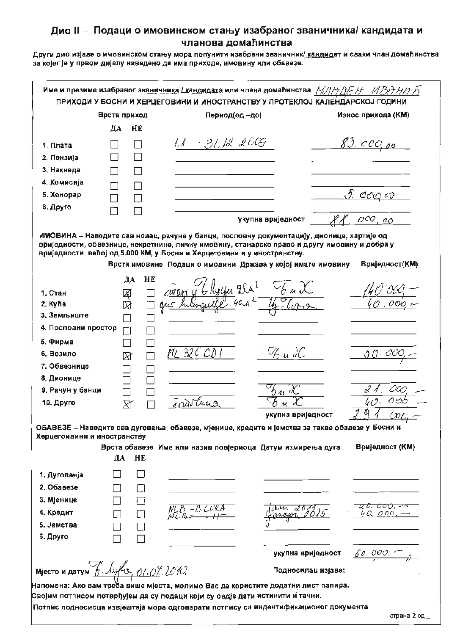Други дио изјаве о имовинском стању мора попунити изабрани званичник/ кандидат и сваки члан домаћинства за којег је у првом дијелу наведено да има приходе, имовину или обавезе.

|                                      |              | Име и презиме изабраног званичника / кандидата или члана домаћинства $M\rightarrow\Delta F\rightarrow\pi\rightarrow\gamma$<br>ПРИХОДИ У БОСНИ И ХЕРЦЕГОВИНИ И ИНОСТРАНСТВУ У ПРОТЕКЛОЈ КАЛЕНДАРСКОЈ ГОДИНИ                                                                                                                         |                    |                        |
|--------------------------------------|--------------|------------------------------------------------------------------------------------------------------------------------------------------------------------------------------------------------------------------------------------------------------------------------------------------------------------------------------------|--------------------|------------------------|
|                                      | Врста приход | Период(од -до)                                                                                                                                                                                                                                                                                                                     |                    | Износ прихода (КМ)     |
|                                      | ДА<br>HE     |                                                                                                                                                                                                                                                                                                                                    |                    |                        |
| 1. Плата                             |              | $1.1. -31.12.2009$                                                                                                                                                                                                                                                                                                                 |                    | <u>83. ссо, ос</u>     |
| 2. Пензија                           |              |                                                                                                                                                                                                                                                                                                                                    |                    |                        |
| 3. Накнада                           |              |                                                                                                                                                                                                                                                                                                                                    |                    |                        |
| 4. Комисија                          |              |                                                                                                                                                                                                                                                                                                                                    |                    |                        |
| 5. Хонорар                           |              |                                                                                                                                                                                                                                                                                                                                    |                    | <u>I. oca et</u>       |
| 6. Друго                             |              |                                                                                                                                                                                                                                                                                                                                    |                    |                        |
|                                      |              |                                                                                                                                                                                                                                                                                                                                    | укупна вриједност  | $OCO$ , 00             |
|                                      |              | ИМОВИНА - Наведите сая новац, рачуне у банци, пословну документацију, дионице, хартије од<br>вриједности, обвезнице, некретнине, личну имовину, станарско право и другу имовину и добра у<br>вриједности већој од 5.000 КМ, у Босни и Херцеговини и у иностранству.<br>Врста имовине Подаци о имовини Држава у којој имате имовину |                    | Вриједност(КМ)         |
|                                      | HE<br>ДА     |                                                                                                                                                                                                                                                                                                                                    |                    |                        |
| 1. Стан<br>2. Kyha                   | শ্ৰ          | curant y                                                                                                                                                                                                                                                                                                                           |                    |                        |
| 3. Земљиште                          | $\boxtimes$  |                                                                                                                                                                                                                                                                                                                                    |                    |                        |
| 4. Пословни простор                  |              |                                                                                                                                                                                                                                                                                                                                    |                    |                        |
| 5. Фирма                             |              |                                                                                                                                                                                                                                                                                                                                    |                    |                        |
| 6. Возило                            | ⊠            | ML 32C'                                                                                                                                                                                                                                                                                                                            | ''t u IC           |                        |
| 7. Обвезнице                         |              |                                                                                                                                                                                                                                                                                                                                    |                    |                        |
| 8. Дионице                           |              |                                                                                                                                                                                                                                                                                                                                    |                    |                        |
| 9. Рачун у банци                     |              |                                                                                                                                                                                                                                                                                                                                    |                    | 000                    |
| 10. Друго                            | R            | $7\mu$ i 3                                                                                                                                                                                                                                                                                                                         |                    | 0 v.                   |
|                                      |              |                                                                                                                                                                                                                                                                                                                                    | укупна вриједност  | (201                   |
| Херцегоивини и иностранству          |              | ОБАВЕЗЕ – Наведите сва дуговања, обавезе, мјенице, кредите и јемства за такве обавезе у Босни и                                                                                                                                                                                                                                    |                    |                        |
|                                      | ДА<br>HE     | Врста обавезе Име или назив повјериоца Датум измирења дуга                                                                                                                                                                                                                                                                         |                    | <b>Вриједност (KM)</b> |
| 1. Дугованја                         |              |                                                                                                                                                                                                                                                                                                                                    |                    |                        |
| 2. Обавезе                           | $\Box$       |                                                                                                                                                                                                                                                                                                                                    |                    |                        |
| 3. Мјенице                           | Πi           |                                                                                                                                                                                                                                                                                                                                    |                    | <del>షరి: రాం</del> ల, |
| 4. Кредит                            | $\Box$       |                                                                                                                                                                                                                                                                                                                                    |                    | c. 000                 |
| 5. Јемства                           | $\Box$       |                                                                                                                                                                                                                                                                                                                                    |                    |                        |
| 6. Друго                             |              |                                                                                                                                                                                                                                                                                                                                    |                    |                        |
|                                      |              |                                                                                                                                                                                                                                                                                                                                    | укупна вриједност  | $60.000 - 9$           |
| Miecto и датум 6. lyfu, 01.0%. 2010. |              |                                                                                                                                                                                                                                                                                                                                    | Подносилац изјаве: |                        |
|                                      |              | Напомена: Ако вам треба више мјеста, молимо Вас да користите додатни лист папира.                                                                                                                                                                                                                                                  |                    |                        |
|                                      |              | Својим потписом потврђујем да су подаци који су овдје дати истинити и тачни.                                                                                                                                                                                                                                                       |                    |                        |
|                                      |              | Потпис подносиоца извјештаја мора одговарати потпису са индентификационог документа                                                                                                                                                                                                                                                |                    |                        |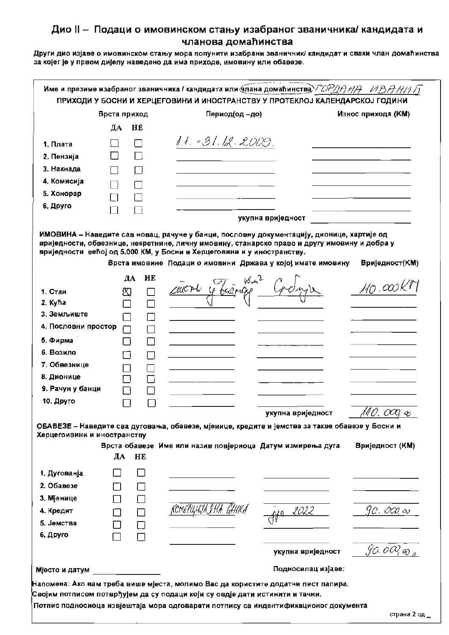Други дио изјаве о имовинском стању мора попунити изабрани званичник/ кандидат и сваки члан домаћинства за којег је у првом дијелу наведено да има приходе, имовину или обавезе.

| Период(од -до)<br>Износ прихода (КМ)<br>Врста приход<br>ДА<br>HE<br>1.1. - 3 1. 12. 2009.<br>1. Плата<br>2. Пензија<br>3. Накнада<br>4. Комисија<br>5. Хонорар<br>6. Друго<br>укупна вриједност<br>ИМОВИНА – Наведите сав новац, рачуне у банци, пословну документацију, дионице, хартије од<br>вриједности, обвезнице, некретнине, личну имовину, станарско право и другу имовину и добра у<br>вриједности већој од 5.000 КМ, у Босни и Херцеговини и у иностранству.<br>Врста имовине Подаци о имовини Држава у којој имате имовину<br>Вриједност(КМ)<br>HE<br>ДА<br>course y faires<br>$110 \cdot \infty$<br>⊠<br>1. Стан<br>2. Kyħa<br>3. Земљиште<br>4. Пословни простор<br>5. Фирма<br>$\mathsf{L}$<br>6. Возило<br>Ξí<br>7. Обвезнице<br>8. Дионице<br>9. Рачун у банци<br>10. Друго<br>140. 000, eo<br>укупна вриједност<br>ОБАВЕЗЕ - Наведите сва дуговања, обавезе, мјенице, кредите и јемства за такве обавезе у Босни и<br>Херцегоивини и иностранству<br>Вриједност (КМ)<br>Врста обавезе Име или назив повјериоца Датум измирења дуга<br>ДА<br>HE<br>1. Дугованја<br>2. Обавезе<br>3. Мјенице<br>2022<br>90. OOQ oo<br>4. Кредит<br>П<br>5. Јемства<br>$\Box$<br>6. Друго<br>∏<br>90.0000<br>укупна вриједност<br>Подносилац изјаве:<br>Мјесто и датум |  | ПРИХОДИ У БОСНИ И ХЕРЦЕГОВИНИ И ИНОСТРАНСТВУ У ПРОТЕКЛОЈ КАЛЕНДАРСКОЈ ГОДИНИ |  |
|----------------------------------------------------------------------------------------------------------------------------------------------------------------------------------------------------------------------------------------------------------------------------------------------------------------------------------------------------------------------------------------------------------------------------------------------------------------------------------------------------------------------------------------------------------------------------------------------------------------------------------------------------------------------------------------------------------------------------------------------------------------------------------------------------------------------------------------------------------------------------------------------------------------------------------------------------------------------------------------------------------------------------------------------------------------------------------------------------------------------------------------------------------------------------------------------------------------------------------------------------------------------|--|------------------------------------------------------------------------------|--|
|                                                                                                                                                                                                                                                                                                                                                                                                                                                                                                                                                                                                                                                                                                                                                                                                                                                                                                                                                                                                                                                                                                                                                                                                                                                                      |  |                                                                              |  |
|                                                                                                                                                                                                                                                                                                                                                                                                                                                                                                                                                                                                                                                                                                                                                                                                                                                                                                                                                                                                                                                                                                                                                                                                                                                                      |  |                                                                              |  |
|                                                                                                                                                                                                                                                                                                                                                                                                                                                                                                                                                                                                                                                                                                                                                                                                                                                                                                                                                                                                                                                                                                                                                                                                                                                                      |  |                                                                              |  |
|                                                                                                                                                                                                                                                                                                                                                                                                                                                                                                                                                                                                                                                                                                                                                                                                                                                                                                                                                                                                                                                                                                                                                                                                                                                                      |  |                                                                              |  |
|                                                                                                                                                                                                                                                                                                                                                                                                                                                                                                                                                                                                                                                                                                                                                                                                                                                                                                                                                                                                                                                                                                                                                                                                                                                                      |  |                                                                              |  |
|                                                                                                                                                                                                                                                                                                                                                                                                                                                                                                                                                                                                                                                                                                                                                                                                                                                                                                                                                                                                                                                                                                                                                                                                                                                                      |  |                                                                              |  |
|                                                                                                                                                                                                                                                                                                                                                                                                                                                                                                                                                                                                                                                                                                                                                                                                                                                                                                                                                                                                                                                                                                                                                                                                                                                                      |  |                                                                              |  |
|                                                                                                                                                                                                                                                                                                                                                                                                                                                                                                                                                                                                                                                                                                                                                                                                                                                                                                                                                                                                                                                                                                                                                                                                                                                                      |  |                                                                              |  |
|                                                                                                                                                                                                                                                                                                                                                                                                                                                                                                                                                                                                                                                                                                                                                                                                                                                                                                                                                                                                                                                                                                                                                                                                                                                                      |  |                                                                              |  |
|                                                                                                                                                                                                                                                                                                                                                                                                                                                                                                                                                                                                                                                                                                                                                                                                                                                                                                                                                                                                                                                                                                                                                                                                                                                                      |  |                                                                              |  |
|                                                                                                                                                                                                                                                                                                                                                                                                                                                                                                                                                                                                                                                                                                                                                                                                                                                                                                                                                                                                                                                                                                                                                                                                                                                                      |  |                                                                              |  |
|                                                                                                                                                                                                                                                                                                                                                                                                                                                                                                                                                                                                                                                                                                                                                                                                                                                                                                                                                                                                                                                                                                                                                                                                                                                                      |  |                                                                              |  |
|                                                                                                                                                                                                                                                                                                                                                                                                                                                                                                                                                                                                                                                                                                                                                                                                                                                                                                                                                                                                                                                                                                                                                                                                                                                                      |  |                                                                              |  |
|                                                                                                                                                                                                                                                                                                                                                                                                                                                                                                                                                                                                                                                                                                                                                                                                                                                                                                                                                                                                                                                                                                                                                                                                                                                                      |  |                                                                              |  |
|                                                                                                                                                                                                                                                                                                                                                                                                                                                                                                                                                                                                                                                                                                                                                                                                                                                                                                                                                                                                                                                                                                                                                                                                                                                                      |  |                                                                              |  |
|                                                                                                                                                                                                                                                                                                                                                                                                                                                                                                                                                                                                                                                                                                                                                                                                                                                                                                                                                                                                                                                                                                                                                                                                                                                                      |  |                                                                              |  |
|                                                                                                                                                                                                                                                                                                                                                                                                                                                                                                                                                                                                                                                                                                                                                                                                                                                                                                                                                                                                                                                                                                                                                                                                                                                                      |  |                                                                              |  |
|                                                                                                                                                                                                                                                                                                                                                                                                                                                                                                                                                                                                                                                                                                                                                                                                                                                                                                                                                                                                                                                                                                                                                                                                                                                                      |  |                                                                              |  |
|                                                                                                                                                                                                                                                                                                                                                                                                                                                                                                                                                                                                                                                                                                                                                                                                                                                                                                                                                                                                                                                                                                                                                                                                                                                                      |  |                                                                              |  |
|                                                                                                                                                                                                                                                                                                                                                                                                                                                                                                                                                                                                                                                                                                                                                                                                                                                                                                                                                                                                                                                                                                                                                                                                                                                                      |  |                                                                              |  |
|                                                                                                                                                                                                                                                                                                                                                                                                                                                                                                                                                                                                                                                                                                                                                                                                                                                                                                                                                                                                                                                                                                                                                                                                                                                                      |  |                                                                              |  |
|                                                                                                                                                                                                                                                                                                                                                                                                                                                                                                                                                                                                                                                                                                                                                                                                                                                                                                                                                                                                                                                                                                                                                                                                                                                                      |  |                                                                              |  |
|                                                                                                                                                                                                                                                                                                                                                                                                                                                                                                                                                                                                                                                                                                                                                                                                                                                                                                                                                                                                                                                                                                                                                                                                                                                                      |  |                                                                              |  |
|                                                                                                                                                                                                                                                                                                                                                                                                                                                                                                                                                                                                                                                                                                                                                                                                                                                                                                                                                                                                                                                                                                                                                                                                                                                                      |  |                                                                              |  |
|                                                                                                                                                                                                                                                                                                                                                                                                                                                                                                                                                                                                                                                                                                                                                                                                                                                                                                                                                                                                                                                                                                                                                                                                                                                                      |  |                                                                              |  |
|                                                                                                                                                                                                                                                                                                                                                                                                                                                                                                                                                                                                                                                                                                                                                                                                                                                                                                                                                                                                                                                                                                                                                                                                                                                                      |  |                                                                              |  |
|                                                                                                                                                                                                                                                                                                                                                                                                                                                                                                                                                                                                                                                                                                                                                                                                                                                                                                                                                                                                                                                                                                                                                                                                                                                                      |  |                                                                              |  |
|                                                                                                                                                                                                                                                                                                                                                                                                                                                                                                                                                                                                                                                                                                                                                                                                                                                                                                                                                                                                                                                                                                                                                                                                                                                                      |  |                                                                              |  |
|                                                                                                                                                                                                                                                                                                                                                                                                                                                                                                                                                                                                                                                                                                                                                                                                                                                                                                                                                                                                                                                                                                                                                                                                                                                                      |  |                                                                              |  |
|                                                                                                                                                                                                                                                                                                                                                                                                                                                                                                                                                                                                                                                                                                                                                                                                                                                                                                                                                                                                                                                                                                                                                                                                                                                                      |  |                                                                              |  |
|                                                                                                                                                                                                                                                                                                                                                                                                                                                                                                                                                                                                                                                                                                                                                                                                                                                                                                                                                                                                                                                                                                                                                                                                                                                                      |  |                                                                              |  |
|                                                                                                                                                                                                                                                                                                                                                                                                                                                                                                                                                                                                                                                                                                                                                                                                                                                                                                                                                                                                                                                                                                                                                                                                                                                                      |  |                                                                              |  |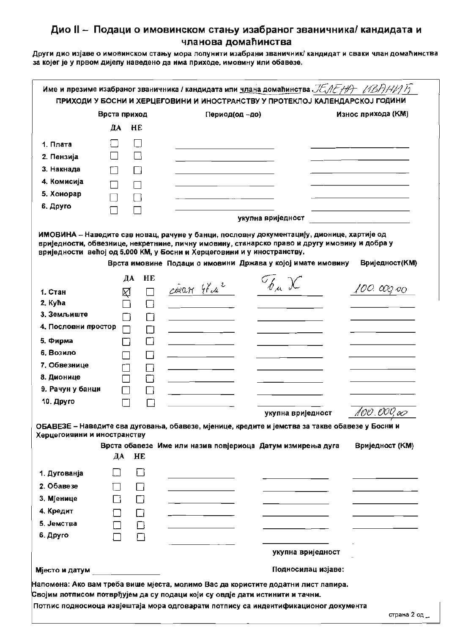Други дио изјаве о имовинском стању мора попунити изабрани званичник/ кандидат и сваки члан домаћинства за којег је у првом дијелу наведено да има приходе, имовину или обавезе.

|                             | Врста приход |              | Период(од -до)                                                                                                                                                                                                                        |                   | Износ прихода (КМ) |
|-----------------------------|--------------|--------------|---------------------------------------------------------------------------------------------------------------------------------------------------------------------------------------------------------------------------------------|-------------------|--------------------|
|                             | ДА           | HE           |                                                                                                                                                                                                                                       |                   |                    |
| 1. Плата                    |              |              |                                                                                                                                                                                                                                       |                   |                    |
| 2. Пензија                  |              |              |                                                                                                                                                                                                                                       |                   |                    |
| 3. Накнада                  |              |              |                                                                                                                                                                                                                                       |                   |                    |
| 4. Комисија                 |              |              |                                                                                                                                                                                                                                       |                   |                    |
| 5. Хонорар                  |              |              |                                                                                                                                                                                                                                       |                   |                    |
| 6. Друго                    |              |              |                                                                                                                                                                                                                                       |                   |                    |
|                             |              |              | укупна вриједност                                                                                                                                                                                                                     |                   |                    |
|                             | ДА           | <b>HE</b>    | вриједности, обвезнице, некретнине, личну имовину, станарско право и другу имовину и добра у<br>вриједности већој од 5.000 КМ, у Босни и Херцеговини и у иностранству.<br>Врста имовине Подаци о имовини Држава у којој имате имовину |                   | Вриједност(КМ)     |
|                             |              |              | Eb u X<br>cean 4 Lu <sup>2</sup>                                                                                                                                                                                                      |                   | 100. œo oo         |
| 1. Стан<br>2. Kyħa          | Ķ            |              |                                                                                                                                                                                                                                       |                   |                    |
| 3. Земљиште                 |              |              |                                                                                                                                                                                                                                       |                   |                    |
| 4. Пословни простор         |              | Ιi<br>ΙI     |                                                                                                                                                                                                                                       |                   |                    |
| 5. Фирма                    |              | н.           |                                                                                                                                                                                                                                       |                   |                    |
| 6. Возило                   |              |              |                                                                                                                                                                                                                                       |                   |                    |
| 7. Обвезнице                |              |              |                                                                                                                                                                                                                                       |                   |                    |
| 8. Дионице                  |              |              |                                                                                                                                                                                                                                       |                   |                    |
| 9. Рачун у банци            |              |              |                                                                                                                                                                                                                                       |                   |                    |
| 10. Друго                   |              |              |                                                                                                                                                                                                                                       |                   |                    |
|                             |              |              |                                                                                                                                                                                                                                       | укупна вриједност | 100.000,00         |
| Херцегоивини и иностранству | ДА НЕ        |              | ОБАВЕЗЕ - Наведите сва дуговања, обавезе, мјенице, кредите и јемства за такве обавезе у Босни и<br>Врста обавезе Име или назив повјериоца Датум измирења дуга                                                                         |                   | Вриједност (KM)    |
| 1. Дугованја                |              | $\mathbf{1}$ |                                                                                                                                                                                                                                       |                   |                    |
| 2. Обавезе                  |              |              | the control of the control of the control                                                                                                                                                                                             |                   |                    |
| 3. Мјенице                  | П            | П            |                                                                                                                                                                                                                                       |                   |                    |
|                             | ∩            | $\Box$       |                                                                                                                                                                                                                                       |                   |                    |
| 4. Кредит                   | $\Box$       | $\Box$       | the control of the control of the control of                                                                                                                                                                                          |                   |                    |
| 5. Јемства                  |              |              |                                                                                                                                                                                                                                       |                   |                    |
| 6. Друго                    |              | $\Box$       |                                                                                                                                                                                                                                       |                   |                    |
|                             |              |              |                                                                                                                                                                                                                                       | укупна вриједност |                    |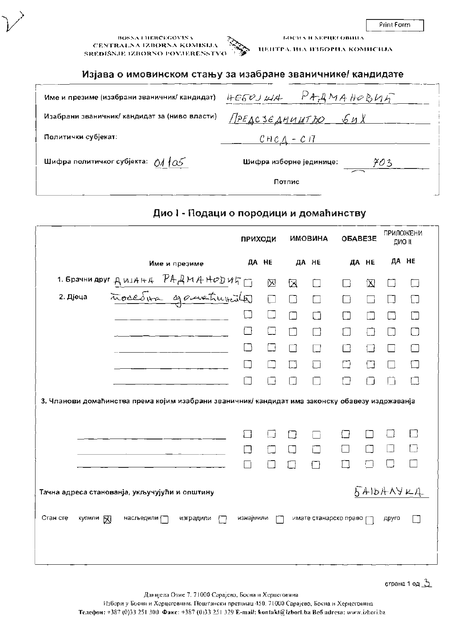Print Form

**BOSNATHERCEGOVENA** CENTRALNA IZBORNA KOMISIJA SREDIŠNJE IZBORNO POVJERENSTVO



ЦЕПТРАЛИА ИЗБОРНА КОМИСИЈА

БОСНА И ХЕРЦЕГОВНИА

#### Изјава о имовинском стању за изабране званичнике/ кандидате

| Име и презиме (изабрани званичник/ кандидат)  | $HESVJWA$ PAAMAHOBUA           |
|-----------------------------------------------|--------------------------------|
| Изабрани званичник/ кандидат за (ниво власти) | <u> Предсъедништьо бих</u>     |
| Политички субјекат:                           | $C$ HC $A$ - C17               |
| Шифра политичког субјекта: 01105              | Шифра изборне јединице:<br>703 |
|                                               | Потпис                         |

# Дио I - Подаци о породици и домаћинству

|                       |                                                                                                  | <b>ПРИХОДИ</b> |        |        | <b>ИМОВИНА</b> | OBABE3E               |             | <b>ПРИЛОЖЕНИ</b><br>дио к |        |
|-----------------------|--------------------------------------------------------------------------------------------------|----------------|--------|--------|----------------|-----------------------|-------------|---------------------------|--------|
|                       | Име и презиме                                                                                    | ДA HE          |        |        | ДА НЕ          |                       | ДA HE       | ДА НЕ                     |        |
|                       | 1. Spaulu Apyr AMIAHA PAAMAHODULT                                                                |                | 区      | 区      |                |                       | $\boxtimes$ |                           |        |
|                       |                                                                                                  |                | $\Box$ | □      | Γi             |                       | - 1         | П                         |        |
|                       |                                                                                                  |                | $\Box$ | ∩      | $\Box$         |                       |             | LΙ                        |        |
|                       |                                                                                                  |                | □      | П      | П              |                       | П           | $\vert \ \ \vert$         | $\Box$ |
|                       |                                                                                                  |                | İΙ     | П      | ┓              |                       |             |                           |        |
|                       |                                                                                                  |                |        | $\Box$ | $\Box$         |                       | H           |                           |        |
|                       |                                                                                                  |                |        |        |                |                       |             |                           | П      |
|                       | 3. Чланови домаћинства према којим изабрани званичник/ кандидат има законску обавезу издржаванја |                |        |        |                |                       |             |                           |        |
|                       |                                                                                                  | ┓              | l 1    | П      |                |                       |             |                           | П      |
|                       |                                                                                                  |                |        | П      | П              |                       |             |                           |        |
|                       |                                                                                                  |                |        | ٦      | IЕ             |                       |             |                           |        |
| Стан сте<br>купили 57 | Тачна адреса станованја, укључујући и општину<br>насљедили [ $\equiv$<br>изградили               | изнајмили      |        |        |                | имате станарско право |             | 541641444<br>Apyro        |        |
|                       |                                                                                                  |                |        |        |                |                       |             |                           |        |

Данијела Озме 7, 71000 Сарајево, Босна и Херцеговина Избори у Босни и Херцсговини. Поштански претинац 450, 71000 Сарајево, Босна и Херцсговина Телефон: +387 (0)33 251 300 Факс: +387 (0)33 251 329 E-mail: kontakt@izborl.ba Веб adresa: www.izbori.ba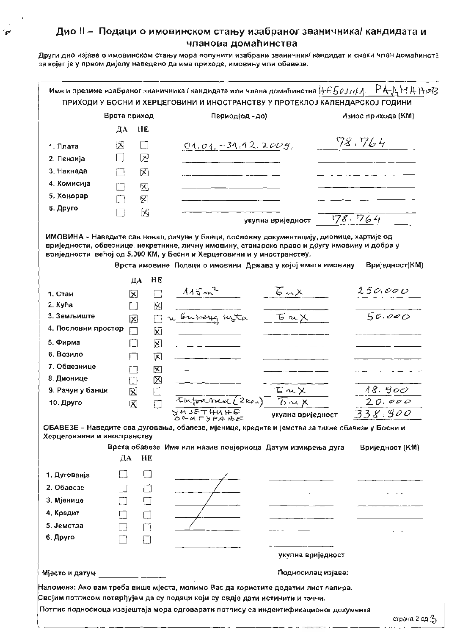$\mathcal{P}'$ 

Други дио изјаве о имовинском стању мора попунити изабрани званичник/ кандидат и сваки члан домаћинств за којег је у првом дијелу наведено да има приходе, имовину или обавезе.

|                                                   | Врста приход       |    | Период(од-до)                                                                                                                               |                                       | Износ прихода (КМ) |
|---------------------------------------------------|--------------------|----|---------------------------------------------------------------------------------------------------------------------------------------------|---------------------------------------|--------------------|
|                                                   | ДА                 | HE |                                                                                                                                             |                                       |                    |
| 1. Плата                                          | 区                  |    | $04.04 - 31.12$ , 2005,                                                                                                                     |                                       | 78.764             |
| 2. Пензија                                        | i l                | ⊠  |                                                                                                                                             |                                       |                    |
| 3. Накнада                                        | Ιì                 | ⊠  |                                                                                                                                             |                                       |                    |
| 4. Комисија                                       | П                  |    |                                                                                                                                             |                                       |                    |
| 5. Хонорар                                        | □                  | X  |                                                                                                                                             |                                       |                    |
| 6. Друго                                          |                    | ⊠  |                                                                                                                                             |                                       |                    |
|                                                   | □                  | 図  |                                                                                                                                             | укупна вриједност                     | 178.764            |
|                                                   |                    | ДА | вриједности већој од 5.000 КМ, у Босни и Херцеговини и у иностранству.<br>Врста имовине Подаци о имовини Држава у којој имате имовину<br>HE |                                       | Вриједност(КМ)     |
| 1. Стан                                           | X                  |    | $115m^2$                                                                                                                                    | $\overline{6}$ mX                     | 250,000            |
| 2. Kyha                                           | $\Box$             |    | 囟                                                                                                                                           |                                       |                    |
| 3. Земљиште                                       | 図                  |    | n bukay uzta                                                                                                                                | 百mX                                   | 50.000             |
| 4. Пословни простор                               | П                  |    | 図                                                                                                                                           |                                       |                    |
| 5. Фирма                                          | - 1                |    | ⊠                                                                                                                                           |                                       |                    |
| 6. Возило                                         | . .                |    | 図                                                                                                                                           |                                       |                    |
| 7. Обвезнице                                      |                    |    | 冈                                                                                                                                           |                                       |                    |
| 8. Дионице                                        |                    |    | ⊠                                                                                                                                           |                                       |                    |
| 9. Рачун у банци                                  | 図                  |    | L.                                                                                                                                          | <b>Gux</b>                            | 18.900             |
| 10. Друго                                         | $\bar{\mathbf{X}}$ |    | <b>NAJETHU</b>                                                                                                                              | $\tau$ upanea (2kr) $\overline{6}$ ux | 20.000             |
|                                                   |                    |    | OCHFYPAIDE<br>ОБАВЕЗЕ - Наведите сва дуговања, обавезе, мјенице, кредите и јемства за такве обавезе у Босни и                               | укулна вриједност                     | 338,900            |
| Херцегоивини и иностранству                       |                    |    | Врста обавезе Име или назив повјериоца Датум измирења дуга                                                                                  |                                       | Вриједност (KM)    |
|                                                   | ДА                 | HE |                                                                                                                                             |                                       |                    |
| 1. Дугованја                                      |                    | ΙI |                                                                                                                                             |                                       |                    |
| 2. Обавезе                                        |                    | O  |                                                                                                                                             |                                       |                    |
|                                                   |                    | П  |                                                                                                                                             |                                       |                    |
|                                                   |                    | П  |                                                                                                                                             |                                       |                    |
|                                                   |                    |    |                                                                                                                                             |                                       |                    |
|                                                   |                    |    |                                                                                                                                             |                                       |                    |
|                                                   |                    | n  |                                                                                                                                             |                                       |                    |
| 3. Мјенице<br>4. Кредит<br>5. Јемства<br>6. Друго |                    |    |                                                                                                                                             | укупна вриједност                     |                    |

Потпис подносиоца извјештаја мора одговарати потпису са индентификационог документа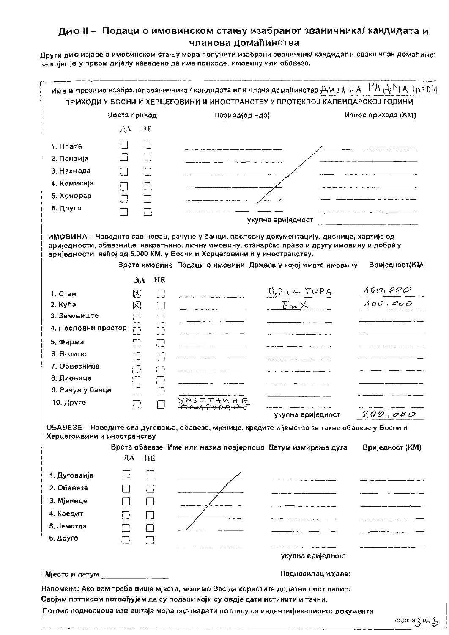Други дио изјаве о имовинском стању мора попунити изабрани званичник/ кандидат и сваки члан домаћинст за којег је у првом дијелу наведено да има приходе, имовину или обавезе.

|                              | Врста приход    |                          | Период(од-до)                                                                                                                                                                                                                                                                                                                      |                                              | Износ прихода (КМ)        |
|------------------------------|-----------------|--------------------------|------------------------------------------------------------------------------------------------------------------------------------------------------------------------------------------------------------------------------------------------------------------------------------------------------------------------------------|----------------------------------------------|---------------------------|
|                              | $\lambda$<br>HE |                          |                                                                                                                                                                                                                                                                                                                                    |                                              |                           |
| 1. Плата                     |                 |                          |                                                                                                                                                                                                                                                                                                                                    |                                              |                           |
| 2. Пензија                   | ΓI              | $\overline{\phantom{a}}$ |                                                                                                                                                                                                                                                                                                                                    |                                              |                           |
| 3. Накнада                   |                 |                          |                                                                                                                                                                                                                                                                                                                                    |                                              |                           |
| 4. Комисија                  |                 |                          |                                                                                                                                                                                                                                                                                                                                    |                                              |                           |
| 5. Хонорар                   |                 |                          |                                                                                                                                                                                                                                                                                                                                    |                                              |                           |
| 6. Друго                     | ∃               |                          |                                                                                                                                                                                                                                                                                                                                    |                                              |                           |
|                              |                 | Гij                      |                                                                                                                                                                                                                                                                                                                                    | укупна вриједност                            |                           |
|                              |                 |                          | ИМОВИНА - Наведите сав новац, рачуне у банци, пословну документацију, дионице, хартије од<br>вриједности, обвезнице, некретнине, личну имовину, станарско право и другу имовину и добра у<br>вриједности већој од 5.000 КМ, у Босни и Херцеговини и у иностранству.<br>Врста имовине Подаци о имовини Држава у којој имате имовину |                                              | Вриједност(КМ)            |
|                              | $\lambda$       | HE                       |                                                                                                                                                                                                                                                                                                                                    |                                              |                           |
| 1. Стан                      | 図               |                          |                                                                                                                                                                                                                                                                                                                                    | $\frac{\mu_{PHR} \sqrt{CPA}}{\mu_{PMR}}$     | $\frac{100.000}{100.000}$ |
| 2. Kyha<br>3. Земљиште       | 囟               | ۰                        |                                                                                                                                                                                                                                                                                                                                    |                                              |                           |
| 4. Пословни простор          |                 |                          |                                                                                                                                                                                                                                                                                                                                    |                                              |                           |
|                              | П               | □                        |                                                                                                                                                                                                                                                                                                                                    |                                              |                           |
| 5. Фирма                     |                 | □                        |                                                                                                                                                                                                                                                                                                                                    |                                              |                           |
| 6. Возило                    |                 | П                        |                                                                                                                                                                                                                                                                                                                                    |                                              |                           |
| 7. Обвезнице                 | 7               | $\Box$                   |                                                                                                                                                                                                                                                                                                                                    |                                              |                           |
| 8. Дионице                   |                 | $\Box$                   |                                                                                                                                                                                                                                                                                                                                    |                                              |                           |
| 9. Рачун у банци             |                 | $\Box$                   | ソハ ミー アト 以                                                                                                                                                                                                                                                                                                                         |                                              |                           |
| 10. Друго                    |                 |                          |                                                                                                                                                                                                                                                                                                                                    |                                              |                           |
|                              |                 |                          |                                                                                                                                                                                                                                                                                                                                    | укупна вриједност                            | 200,000                   |
| Херцегоивини и иностранству  |                 |                          | ОБАВЕЗЕ - Наведите сва дуговања, обавезе, мјенице, кредите и јемства за такве обавезе у Босни и                                                                                                                                                                                                                                    |                                              |                           |
|                              |                 |                          | Врста обавезе Име или назив повјериоца Датум измирења дуга                                                                                                                                                                                                                                                                         |                                              | Вриједност (КМ)           |
|                              | ДА              | HE                       |                                                                                                                                                                                                                                                                                                                                    |                                              |                           |
| 1. Дугованја                 |                 |                          |                                                                                                                                                                                                                                                                                                                                    |                                              |                           |
| 2. Обавезе                   |                 | łΙ                       |                                                                                                                                                                                                                                                                                                                                    |                                              |                           |
| 3. Мјенице                   |                 | $\Box$                   |                                                                                                                                                                                                                                                                                                                                    |                                              |                           |
| 4. Кредит                    |                 |                          |                                                                                                                                                                                                                                                                                                                                    | se <del>de la constitución de la const</del> |                           |
| 5. Јемства                   |                 | П                        |                                                                                                                                                                                                                                                                                                                                    |                                              |                           |
| 6. Друго                     |                 |                          |                                                                                                                                                                                                                                                                                                                                    |                                              |                           |
|                              | □               |                          |                                                                                                                                                                                                                                                                                                                                    |                                              |                           |
|                              |                 |                          |                                                                                                                                                                                                                                                                                                                                    | укупна вриједност                            |                           |
|                              |                 |                          |                                                                                                                                                                                                                                                                                                                                    |                                              |                           |
| Мјесто и датум $\frac{1}{2}$ |                 |                          |                                                                                                                                                                                                                                                                                                                                    | Подносилац изјаве:                           |                           |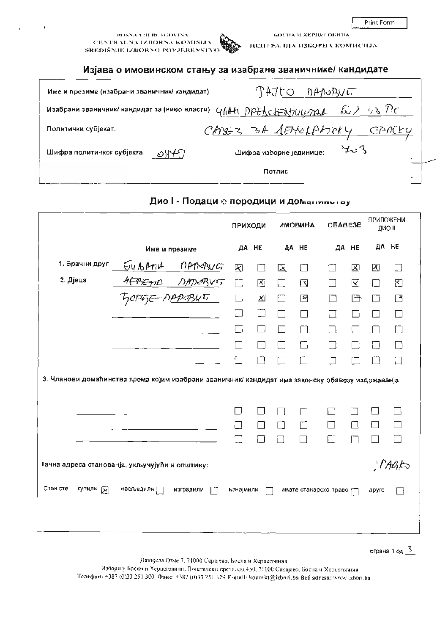Print Form

#### **BOSNA LITERCEGOVINA** CENTRALNA IZBORNA KOMISLIA SREDIŠNJE IZBORNO POVJERENSTVO

ЦЕПТРА. НІА ИЗБОРНА КОМИСНЈА

БОСНА И ХЕРЦЕГ ОВИНА

#### Изјава о имовинском стању за изабране званичнике/ кандидате

| Име и презиме (изабрани званичник/ кандидат)                       | <b>DANORVET</b>                |  |
|--------------------------------------------------------------------|--------------------------------|--|
| Изабрани званичник/ кандидат за (ниво власти) 4141 DPEACH=M1114224 | ふノ い Po                        |  |
| Политички субјекат:                                                | CASEZ 34 SENOLATORY<br>CPN(KY  |  |
| Шифра политичког субјекта:                                         | けいへ<br>Шифра изборне јединице: |  |
|                                                                    | Потлис                         |  |

|                      |                                                                                                  | ПРИХОДИ   |        |        | <b>UMOBUHA</b>        | OBABE3E |       | ПРИЛОЖЕНИ | ДИО II    |
|----------------------|--------------------------------------------------------------------------------------------------|-----------|--------|--------|-----------------------|---------|-------|-----------|-----------|
|                      | Име и презиме                                                                                    |           | ДА НЕ  |        | ДА НЕ                 |         | ДА НЕ |           | ДА НЕ     |
| 1. Брачни друг       | GUBANA<br>nAndRUGT                                                                               | 図         | П      | 区      | П                     | 11      | 図     | 团         | $\Box$    |
| 2. Дјеца             | HEAEAND DATORYS                                                                                  | $\Box$    | 区      | $\Box$ | ظ                     | H       | ☑     | П         | 图         |
|                      | <u> TIOPEJE-AADOBUET</u>                                                                         | $\Box$    | X      | П      | 区                     |         | 子     | ľТ        | ⊡         |
|                      |                                                                                                  | $\Box$    | □      | ٦      | □                     |         |       |           | Г         |
|                      |                                                                                                  | G         | $\Box$ | П      |                       |         |       |           | ┌         |
|                      |                                                                                                  |           |        |        |                       |         |       | □         | П         |
|                      |                                                                                                  | $\Box$    |        |        |                       |         |       |           |           |
|                      | 3. Чланови домаћинства према којим изабрани званичник/ кандидат има законску обавезу издржаванја |           |        |        |                       |         |       |           |           |
|                      |                                                                                                  | П         |        |        |                       |         |       |           |           |
|                      | Тачна адреса станованја, укључујући и општину:                                                   |           |        |        |                       |         |       |           | $M$ Alifo |
| Стан сте<br>купили [ | насљедили [<br>изградили                                                                         | изнајмили |        |        | имате станарско право |         |       | друго     |           |

# Дио I - Подаци е породици и доманилотов

страна 1 од 3

Данијсла Озме 7. 71000 Сарајево, Босна и Херцеговина

Избори у Босни и Херцеговнии. Поптански претилац 450, 71000 Сарајево, Босна и Херцеговниа Телефон: +387 (0)33 251 300 Факс: +387 (0)33 251 329 Е-шай: kontakt@izbori.ba Веб аdresa: www.izbori.ba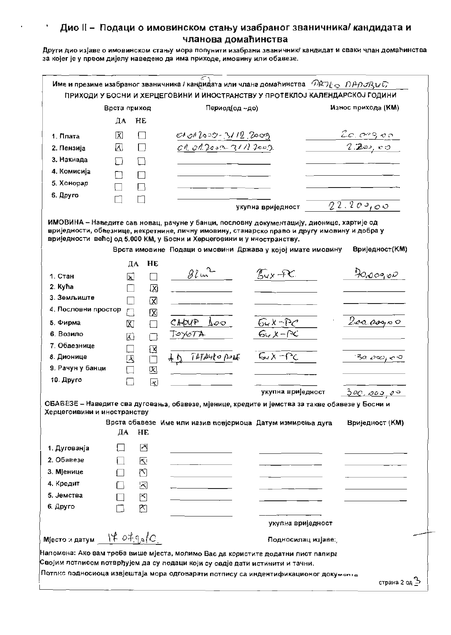$\bullet$ 

Други дио изјаве о имовинском стању мора попунити изабрани званичник/ кандидат и сваки члан домаћинства за којег је у првом дијелу наведено да има приходе, имовину или обавезе.

|                             | Врста приход             |                 | Период(од ~до)                                                                                  |                                               | Износ прихода (КМ)          |
|-----------------------------|--------------------------|-----------------|-------------------------------------------------------------------------------------------------|-----------------------------------------------|-----------------------------|
|                             | ДA                       | HE              |                                                                                                 |                                               |                             |
| 1. Ллата                    | 図                        | $\Box$          | $C101200 - 31122000$                                                                            |                                               | 20.09900                    |
| 2. Пензија                  | W                        | $\Box$          | $04.012$ com $31/12009$ .                                                                       |                                               | 2.200,00                    |
| 3. Накнада                  | ΙÌ                       |                 |                                                                                                 |                                               |                             |
| 4. Комисија                 |                          |                 |                                                                                                 |                                               |                             |
| 5. Хонорар                  |                          |                 |                                                                                                 |                                               |                             |
| 6. Друго                    |                          |                 |                                                                                                 |                                               |                             |
|                             |                          |                 |                                                                                                 | укупна вриједност                             | 22.209,00                   |
| 1. Стан                     | ДА<br>⊠                  | HE              | Врста имовине Подаци о имовини Држава у којој имате имовину<br>82m <sup>2</sup>                 | $\mathcal{L}_{\mathsf{v}}$ of $\mathcal{L}$ . | Вриједност(КМ)<br>70,000,00 |
| 2. Kyha                     |                          | ⊠               |                                                                                                 |                                               |                             |
| 3. Земљиште                 |                          | ⊠               |                                                                                                 |                                               |                             |
| 4. Пословни простор         |                          | 区               |                                                                                                 |                                               |                             |
| 5. Фирма                    | $\overline{\text{X}}$    | $\Box$          | CHOUP $\Delta \infty$                                                                           | $\frac{64x-60}{64x-60}$                       | 2000000                     |
| 6. Возило                   | 园                        | $\Box$          | Тоуотд                                                                                          |                                               |                             |
| 7. Обвезнице                | $\overline{\phantom{a}}$ | $\boxtimes$     |                                                                                                 |                                               |                             |
| 8. Дионице                  | ⊠                        | $\Box$          | TATASKO POLE<br>千万                                                                              | Gy X - PC                                     | ెనం చాల్కు నార              |
| 9. Рачун у банци            | П                        | 囡               |                                                                                                 |                                               |                             |
| 10. Друго                   | П                        | $\vert x \vert$ |                                                                                                 |                                               |                             |
|                             |                          |                 |                                                                                                 | укупна вриједност                             | 300,000,00                  |
| Херцегоивини и иностранству |                          |                 | ОБАВЁЗЕ – Наведите сва дуговања, обавезе, мјенице, кредите и јемства за такве обавезе у Босни и |                                               |                             |
|                             | ДА                       | HE              | Врста обавезе Име или назив повјериоца Датум измирења дуга                                      |                                               | Вриједност (KM)             |
| 1. Дугованја                |                          | Å               |                                                                                                 |                                               |                             |
| 2. Обавезе                  |                          | 匛               |                                                                                                 |                                               |                             |
| 3. Мјенице                  |                          | 图               |                                                                                                 |                                               |                             |
|                             | ∩                        | ⊠               |                                                                                                 |                                               |                             |
| 4. Кредит                   |                          | ෪               |                                                                                                 |                                               |                             |
|                             |                          |                 |                                                                                                 |                                               |                             |
| 5. Јемства<br>6. Друго      |                          | m               |                                                                                                 |                                               |                             |
|                             |                          |                 |                                                                                                 | укупна вриједност                             |                             |

ιμ 'ㅁ < UA \_